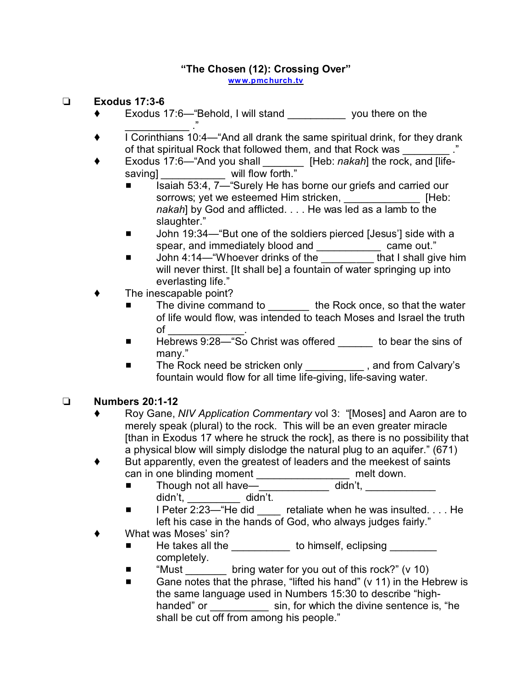#### **"The Chosen (12): Crossing Over" ww [w.pmchurch.tv](http://www.pmchurch.tv)**

## **Exodus 17:3-6**

- Exodus 17:6—"Behold, I will stand \_\_\_\_\_\_\_\_\_\_ you there on the
- \_\_\_\_\_\_\_\_\_\_\_ ."  $\bullet$  I Corinthians 10:4—"And all drank the same spiritual drink, for they drank of that spiritual Rock that followed them, and that Rock was  $\ddot{\hspace{1cm}}$ .
- Exodus 17:6—"And you shall \_\_\_\_\_\_\_ [Heb: *nakah*] the rock, and [lifesaving] will flow forth.
	- Isaiah 53:4, 7— "Surely He has borne our griefs and carried our sorrows; yet we esteemed Him stricken, \_\_\_\_\_\_\_\_\_\_\_\_\_\_\_\_ [Heb: *nakah*] by God and afflicted. . . . He was led as a lamb to the slaughter."
	- John 19:34—"But one of the soldiers pierced [Jesus'] side with a spear, and immediately blood and \_\_\_\_\_\_\_\_\_\_\_\_\_ came out."
	- John 4:14—"Whoever drinks of the that I shall give him will never thirst. [It shall be] a fountain of water springing up into everlasting life."
- The inescapable point?
	- The divine command to **the Rock once, so that the water** of life would flow, was intended to teach Moses and Israel the truth  $\circ$ f $\overline{\phantom{a}}$
	- Hebrews 9:28— "So Christ was offered \_\_\_\_\_\_ to bear the sins of many."
	- The Rock need be stricken only \_\_\_\_\_\_\_\_\_\_, and from Calvary's fountain would flow for all time life-giving, life-saving water.

# **Numbers 20:1-12**

- Roy Gane, *NIV Application Commentary* vol 3: "[Moses] and Aaron are to merely speak (plural) to the rock. This will be an even greater miracle [than in Exodus 17 where he struck the rock], as there is no possibility that a physical blow will simply dislodge the natural plug to an aquifer." (671)
- But apparently, even the greatest of leaders and the meekest of saints can in one blinding moment \_\_\_\_\_\_\_\_\_\_\_\_\_\_\_\_\_ melt down.
	- Though not all have—\_\_\_\_\_\_\_\_\_\_\_\_ didn't, \_\_\_\_\_\_\_\_\_\_\_\_ didn't, \_\_\_\_\_\_\_\_\_ didn't.
	- $\blacksquare$  I Peter 2:23—"He did cretaliate when he was insulted. . . . He left his case in the hands of God, who always judges fairly."
- What was Moses' sin?
	- He takes all the the to himself, eclipsing the takes all the task of the to himself, eclipsing completely.
	- "Must bring water for you out of this rock?" (v 10)
	- $\blacksquare$  Gane notes that the phrase, "lifted his hand" (v 11) in the Hebrew is the same language used in Numbers 15:30 to describe "highhanded" or  $\qquad \qquad$  sin, for which the divine sentence is, "he shall be cut off from among his people."